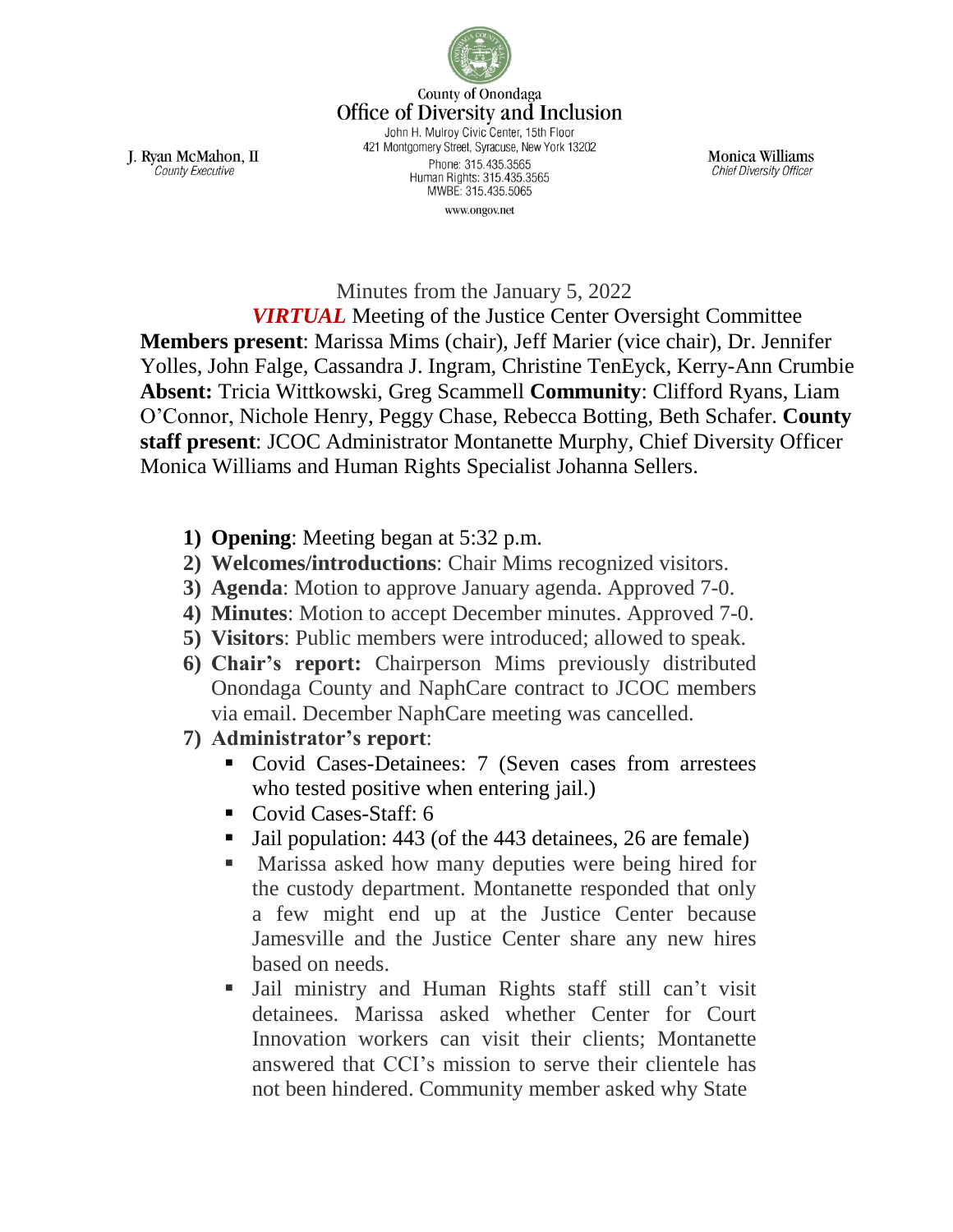

County of Onondaga **Office of Diversity and Inclusion** John H. Mulroy Civic Center, 15th Floor 421 Montgomery Street, Syracuse, New York 13202 Phone: 315.435.3565 Human Rights: 315.435.3565

MWBE: 315.435.5065 www.ongov.net

Monica Williams **Chief Diversity Officer** 

J. Ryan McMahon, II County Executive

Minutes from the January 5, 2022

*VIRTUAL* Meeting of the Justice Center Oversight Committee **Members present**: Marissa Mims (chair), Jeff Marier (vice chair), Dr. Jennifer Yolles, John Falge, Cassandra J. Ingram, Christine TenEyck, Kerry-Ann Crumbie **Absent:** Tricia Wittkowski, Greg Scammell **Community**: Clifford Ryans, Liam O'Connor, Nichole Henry, Peggy Chase, Rebecca Botting, Beth Schafer. **County staff present**: JCOC Administrator Montanette Murphy, Chief Diversity Officer Monica Williams and Human Rights Specialist Johanna Sellers.

- **1) Opening**: Meeting began at 5:32 p.m.
- **2) Welcomes/introductions**: Chair Mims recognized visitors.
- **3) Agenda**: Motion to approve January agenda. Approved 7-0.
- **4) Minutes**: Motion to accept December minutes. Approved 7-0.
- **5) Visitors**: Public members were introduced; allowed to speak.
- **6) Chair's report:** Chairperson Mims previously distributed Onondaga County and NaphCare contract to JCOC members via email. December NaphCare meeting was cancelled.
- **7) Administrator's report**:
	- Covid Cases-Detainees: 7 (Seven cases from arrestees who tested positive when entering jail.)
	- Covid Cases-Staff: 6
	- Jail population: 443 (of the 443 detainees, 26 are female)
	- **Marissa asked how many deputies were being hired for** the custody department. Montanette responded that only a few might end up at the Justice Center because Jamesville and the Justice Center share any new hires based on needs.
	- Jail ministry and Human Rights staff still can't visit detainees. Marissa asked whether Center for Court Innovation workers can visit their clients; Montanette answered that CCI's mission to serve their clientele has not been hindered. Community member asked why State